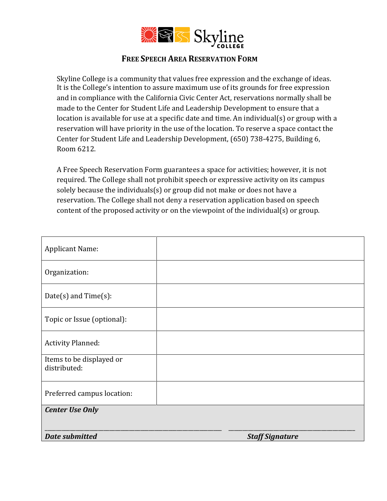

## **FREE SPEECH AREA RESERVATION FORM**

Skyline College is a community that values free expression and the exchange of ideas. It is the College's intention to assure maximum use of its grounds for free expression and in compliance with the California Civic Center Act, reservations normally shall be made to the Center for Student Life and Leadership Development to ensure that a location is available for use at a specific date and time. An individual(s) or group with a reservation will have priority in the use of the location. To reserve a space contact the Center for Student Life and Leadership Development, (650) 738-4275, Building 6, Room 6212.

A Free Speech Reservation Form guarantees a space for activities; however, it is not required. The College shall not prohibit speech or expressive activity on its campus solely because the individuals(s) or group did not make or does not have a reservation. The College shall not deny a reservation application based on speech content of the proposed activity or on the viewpoint of the individual(s) or group.

| <b>Applicant Name:</b>                   |                        |
|------------------------------------------|------------------------|
| Organization:                            |                        |
| Date(s) and $Time(s)$ :                  |                        |
| Topic or Issue (optional):               |                        |
| <b>Activity Planned:</b>                 |                        |
| Items to be displayed or<br>distributed: |                        |
| Preferred campus location:               |                        |
| <b>Center Use Only</b>                   |                        |
| <b>Date submitted</b>                    | <b>Staff Signature</b> |